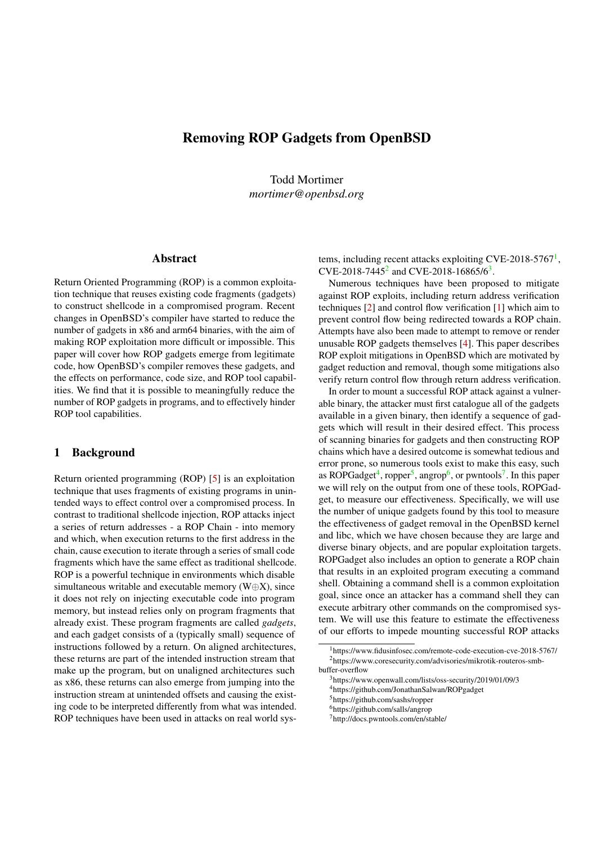# Removing ROP Gadgets from OpenBSD

Todd Mortimer *mortimer@openbsd.org*

### Abstract

Return Oriented Programming (ROP) is a common exploitation technique that reuses existing code fragments (gadgets) to construct shellcode in a compromised program. Recent changes in OpenBSD's compiler have started to reduce the number of gadgets in x86 and arm64 binaries, with the aim of making ROP exploitation more difficult or impossible. This paper will cover how ROP gadgets emerge from legitimate code, how OpenBSD's compiler removes these gadgets, and the effects on performance, code size, and ROP tool capabilities. We find that it is possible to meaningfully reduce the number of ROP gadgets in programs, and to effectively hinder ROP tool capabilities.

#### 1 Background

Return oriented programming (ROP) [\[5\]](#page-8-0) is an exploitation technique that uses fragments of existing programs in unintended ways to effect control over a compromised process. In contrast to traditional shellcode injection, ROP attacks inject a series of return addresses - a ROP Chain - into memory and which, when execution returns to the first address in the chain, cause execution to iterate through a series of small code fragments which have the same effect as traditional shellcode. ROP is a powerful technique in environments which disable simultaneous writable and executable memory ( $W \oplus X$ ), since it does not rely on injecting executable code into program memory, but instead relies only on program fragments that already exist. These program fragments are called *gadgets*, and each gadget consists of a (typically small) sequence of instructions followed by a return. On aligned architectures, these returns are part of the intended instruction stream that make up the program, but on unaligned architectures such as x86, these returns can also emerge from jumping into the instruction stream at unintended offsets and causing the existing code to be interpreted differently from what was intended. ROP techniques have been used in attacks on real world systems, including recent attacks exploiting CVE-20[1](#page-0-0)8-5767 $^1$ , CVE-[2](#page-0-1)018-7445<sup>2</sup> and CVE-2018-16865/6<sup>[3](#page-0-2)</sup>.

Numerous techniques have been proposed to mitigate against ROP exploits, including return address verification techniques [\[2\]](#page-7-0) and control flow verification [\[1\]](#page-7-1) which aim to prevent control flow being redirected towards a ROP chain. Attempts have also been made to attempt to remove or render unusable ROP gadgets themselves [\[4\]](#page-8-1). This paper describes ROP exploit mitigations in OpenBSD which are motivated by gadget reduction and removal, though some mitigations also verify return control flow through return address verification.

In order to mount a successful ROP attack against a vulnerable binary, the attacker must first catalogue all of the gadgets available in a given binary, then identify a sequence of gadgets which will result in their desired effect. This process of scanning binaries for gadgets and then constructing ROP chains which have a desired outcome is somewhat tedious and error prone, so numerous tools exist to make this easy, such as ROPGadget<sup>[4](#page-0-3)</sup>, ropper<sup>[5](#page-0-4)</sup>, angrop<sup>[6](#page-0-5)</sup>, or pwntools<sup>[7](#page-0-6)</sup>. In this paper we will rely on the output from one of these tools, ROPGadget, to measure our effectiveness. Specifically, we will use the number of unique gadgets found by this tool to measure the effectiveness of gadget removal in the OpenBSD kernel and libc, which we have chosen because they are large and diverse binary objects, and are popular exploitation targets. ROPGadget also includes an option to generate a ROP chain that results in an exploited program executing a command shell. Obtaining a command shell is a common exploitation goal, since once an attacker has a command shell they can execute arbitrary other commands on the compromised system. We will use this feature to estimate the effectiveness of our efforts to impede mounting successful ROP attacks

<span id="page-0-4"></span><sup>5</sup>https://github.com/sashs/ropper

<span id="page-0-6"></span><sup>7</sup>http://docs.pwntools.com/en/stable/

<span id="page-0-1"></span><span id="page-0-0"></span><sup>1</sup>https://www.fidusinfosec.com/remote-code-execution-cve-2018-5767/ <sup>2</sup>https://www.coresecurity.com/advisories/mikrotik-routeros-smb-

buffer-overflow

<span id="page-0-2"></span><sup>3</sup>https://www.openwall.com/lists/oss-security/2019/01/09/3

<span id="page-0-3"></span><sup>4</sup>https://github.com/JonathanSalwan/ROPgadget

<span id="page-0-5"></span><sup>6</sup>https://github.com/salls/angrop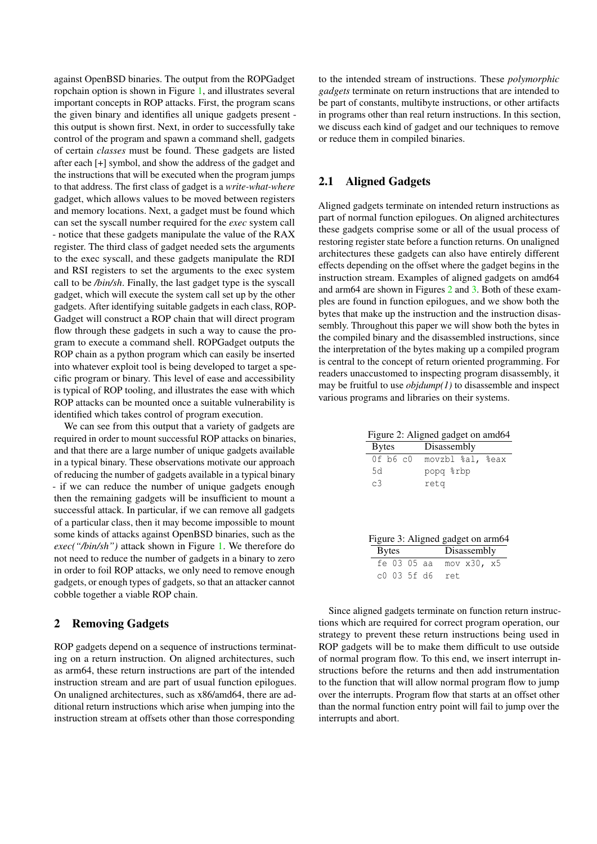against OpenBSD binaries. The output from the ROPGadget ropchain option is shown in Figure [1,](#page-2-0) and illustrates several important concepts in ROP attacks. First, the program scans the given binary and identifies all unique gadgets present this output is shown first. Next, in order to successfully take control of the program and spawn a command shell, gadgets of certain *classes* must be found. These gadgets are listed after each [+] symbol, and show the address of the gadget and the instructions that will be executed when the program jumps to that address. The first class of gadget is a *write-what-where* gadget, which allows values to be moved between registers and memory locations. Next, a gadget must be found which can set the syscall number required for the *exec* system call - notice that these gadgets manipulate the value of the RAX register. The third class of gadget needed sets the arguments to the exec syscall, and these gadgets manipulate the RDI and RSI registers to set the arguments to the exec system call to be */bin/sh*. Finally, the last gadget type is the syscall gadget, which will execute the system call set up by the other gadgets. After identifying suitable gadgets in each class, ROP-Gadget will construct a ROP chain that will direct program flow through these gadgets in such a way to cause the program to execute a command shell. ROPGadget outputs the ROP chain as a python program which can easily be inserted into whatever exploit tool is being developed to target a specific program or binary. This level of ease and accessibility is typical of ROP tooling, and illustrates the ease with which ROP attacks can be mounted once a suitable vulnerability is identified which takes control of program execution.

We can see from this output that a variety of gadgets are required in order to mount successful ROP attacks on binaries, and that there are a large number of unique gadgets available in a typical binary. These observations motivate our approach of reducing the number of gadgets available in a typical binary - if we can reduce the number of unique gadgets enough then the remaining gadgets will be insufficient to mount a successful attack. In particular, if we can remove all gadgets of a particular class, then it may become impossible to mount some kinds of attacks against OpenBSD binaries, such as the *exec("/bin/sh")* attack shown in Figure [1.](#page-2-0) We therefore do not need to reduce the number of gadgets in a binary to zero in order to foil ROP attacks, we only need to remove enough gadgets, or enough types of gadgets, so that an attacker cannot cobble together a viable ROP chain.

### 2 Removing Gadgets

ROP gadgets depend on a sequence of instructions terminating on a return instruction. On aligned architectures, such as arm64, these return instructions are part of the intended instruction stream and are part of usual function epilogues. On unaligned architectures, such as x86/amd64, there are additional return instructions which arise when jumping into the instruction stream at offsets other than those corresponding

to the intended stream of instructions. These *polymorphic gadgets* terminate on return instructions that are intended to be part of constants, multibyte instructions, or other artifacts in programs other than real return instructions. In this section, we discuss each kind of gadget and our techniques to remove or reduce them in compiled binaries.

# 2.1 Aligned Gadgets

Aligned gadgets terminate on intended return instructions as part of normal function epilogues. On aligned architectures these gadgets comprise some or all of the usual process of restoring register state before a function returns. On unaligned architectures these gadgets can also have entirely different effects depending on the offset where the gadget begins in the instruction stream. Examples of aligned gadgets on amd64 and arm64 are shown in Figures [2](#page-1-0) and [3.](#page-1-1) Both of these examples are found in function epilogues, and we show both the bytes that make up the instruction and the instruction disassembly. Throughout this paper we will show both the bytes in the compiled binary and the disassembled instructions, since the interpretation of the bytes making up a compiled program is central to the concept of return oriented programming. For readers unaccustomed to inspecting program disassembly, it may be fruitful to use *objdump(1)* to disassemble and inspect various programs and libraries on their systems.

<span id="page-1-0"></span>

|            | Figure 2: Aligned gadget on amd64 |
|------------|-----------------------------------|
| $D_{\tau}$ | Disassandru                       |

| <b>Bytes</b> | Disassembly      |  |  |
|--------------|------------------|--|--|
| $0f$ b6 $c0$ | movzbl %al, %eax |  |  |
| 5d           | popq %rbp        |  |  |
| c3           | reta             |  |  |

<span id="page-1-1"></span>

| Figure 3: Aligned gadget on arm64 |              |             |  |             |       |             |  |
|-----------------------------------|--------------|-------------|--|-------------|-------|-------------|--|
|                                   | <b>Bytes</b> |             |  |             |       | Disassembly |  |
|                                   |              | fe 03 05 aa |  |             |       | mov x30, x5 |  |
|                                   |              |             |  | c0 03 5f d6 | - ret |             |  |

Since aligned gadgets terminate on function return instructions which are required for correct program operation, our strategy to prevent these return instructions being used in ROP gadgets will be to make them difficult to use outside of normal program flow. To this end, we insert interrupt instructions before the returns and then add instrumentation to the function that will allow normal program flow to jump over the interrupts. Program flow that starts at an offset other than the normal function entry point will fail to jump over the interrupts and abort.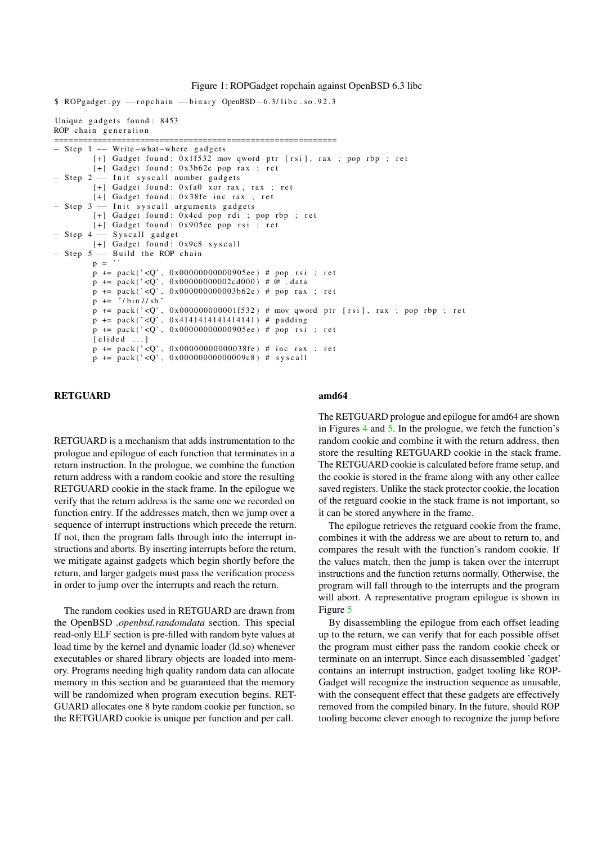Figure 1: ROPGadget ropchain against OpenBSD 6.3 libc

<span id="page-2-0"></span>\$ ROPgadget . py --ropchain --binary OpenBSD-6.3/libc . so .92.3 Unique gadgets found: 8453 ROP chain generation =========================================================== − Step 1 −− Write-what-where gadgets [+] Gadget found: 0x1f532 mov qword ptr [rsi], rax ; pop rbp ; ret  $[+]$  Gadget found:  $0x3b62e$  pop rax ; ret - Step 2 -- Init syscall number gadgets [+] Gadget found: 0xfa0 xor rax, rax ; ret [+] Gadget found: 0x38fe inc rax ; ret - Step 3 -- Init syscall arguments gadgets [+] Gadget found: 0x4cd pop rdi ; pop rbp ; ret  $[+]$  Gadget found: 0x905ee pop rsi ; ret - Step 4 - Syscall gadget [+] Gadget found: 0x9c8 syscall - Step 5 - Build the ROP chain  $p = '$  $p$  += pack('<Q', 0x000000000000905ee) # pop rsi ; ret p += pac k ( ' <Q' , 0 x00000000002cd000 ) # @ . d a t a p += pac k ( ' <Q' , 0 x000000000003b62e ) # pop r a x ; r e t  $p$  +=  $'/ \text{bin} / / \text{sh}$ p += pack('<Q', 0x000000000001f532) # mov qword ptr [rsi], rax ; pop rbp ; ret p += pack('<Q', 0x4141414141414141) # padding  $p \leftarrow$  pack('<Q', 0x00000000000905ee) # pop rsi ; ret  $[$  elided  $\ldots]$  $p$  += pack('<Q', 0x00000000000038fe) # inc rax ; ret  $p \leftarrow$  pack('<Q', 0x000000000000009c8) # syscall

#### RETGUARD

RETGUARD is a mechanism that adds instrumentation to the prologue and epilogue of each function that terminates in a return instruction. In the prologue, we combine the function return address with a random cookie and store the resulting RETGUARD cookie in the stack frame. In the epilogue we verify that the return address is the same one we recorded on function entry. If the addresses match, then we jump over a sequence of interrupt instructions which precede the return. If not, then the program falls through into the interrupt instructions and aborts. By inserting interrupts before the return, we mitigate against gadgets which begin shortly before the return, and larger gadgets must pass the verification process in order to jump over the interrupts and reach the return.

The random cookies used in RETGUARD are drawn from the OpenBSD *.openbsd.randomdata* section. This special read-only ELF section is pre-filled with random byte values at load time by the kernel and dynamic loader (ld.so) whenever executables or shared library objects are loaded into memory. Programs needing high quality random data can allocate memory in this section and be guaranteed that the memory will be randomized when program execution begins. RET-GUARD allocates one 8 byte random cookie per function, so the RETGUARD cookie is unique per function and per call.

#### amd64

The RETGUARD prologue and epilogue for amd64 are shown in Figures [4](#page-3-0) and [5.](#page-3-1) In the prologue, we fetch the function's random cookie and combine it with the return address, then store the resulting RETGUARD cookie in the stack frame. The RETGUARD cookie is calculated before frame setup, and the cookie is stored in the frame along with any other callee saved registers. Unlike the stack protector cookie, the location of the retguard cookie in the stack frame is not important, so it can be stored anywhere in the frame.

The epilogue retrieves the retguard cookie from the frame, combines it with the address we are about to return to, and compares the result with the function's random cookie. If the values match, then the jump is taken over the interrupt instructions and the function returns normally. Otherwise, the program will fall through to the interrupts and the program will abort. A representative program epilogue is shown in Figure [5](#page-3-1)

By disassembling the epilogue from each offset leading up to the return, we can verify that for each possible offset the program must either pass the random cookie check or terminate on an interrupt. Since each disassembled 'gadget' contains an interrupt instruction, gadget tooling like ROP-Gadget will recognize the instruction sequence as unusable, with the consequent effect that these gadgets are effectively removed from the compiled binary. In the future, should ROP tooling become clever enough to recognize the jump before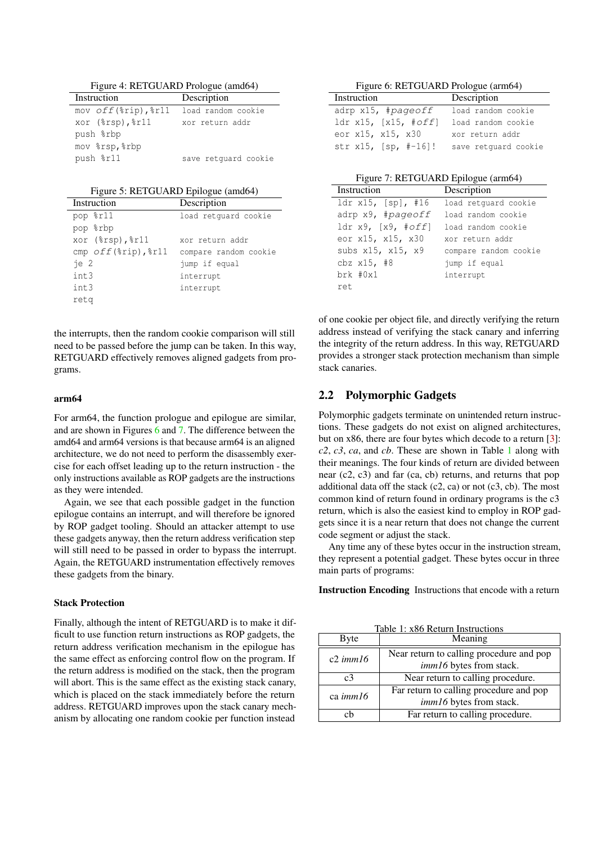Figure 4: RETGUARD Prologue (amd64)

<span id="page-3-0"></span>

| Instruction                            | Description          |
|----------------------------------------|----------------------|
| mov $off$ ( $\gamma$ rip), $\gamma$ 11 | load random cookie   |
| xor (%rsp), %r11                       | xor return addr      |
| push &rbp                              |                      |
| mov %rsp, %rbp                         |                      |
| push %r11                              | save retquard cookie |

Figure 5: RETGUARD Epilogue (amd64)

<span id="page-3-1"></span>

| Instruction                   | Description           |
|-------------------------------|-----------------------|
| pop %r11                      | load retquard cookie  |
| pop %rbp                      |                       |
| xor (%rsp), %r11              | xor return addr       |
| cmp $off$ ( $%$ rip), $%$ r11 | compare random cookie |
| ie <sub>2</sub>               | jump if equal         |
| int.3                         | interrupt             |
| int3                          | interrupt             |
| reta                          |                       |

the interrupts, then the random cookie comparison will still need to be passed before the jump can be taken. In this way, RETGUARD effectively removes aligned gadgets from programs.

#### arm64

For arm64, the function prologue and epilogue are similar, and are shown in Figures [6](#page-3-2) and [7.](#page-3-3) The difference between the amd64 and arm64 versions is that because arm64 is an aligned architecture, we do not need to perform the disassembly exercise for each offset leading up to the return instruction - the only instructions available as ROP gadgets are the instructions as they were intended.

Again, we see that each possible gadget in the function epilogue contains an interrupt, and will therefore be ignored by ROP gadget tooling. Should an attacker attempt to use these gadgets anyway, then the return address verification step will still need to be passed in order to bypass the interrupt. Again, the RETGUARD instrumentation effectively removes these gadgets from the binary.

#### Stack Protection

Finally, although the intent of RETGUARD is to make it difficult to use function return instructions as ROP gadgets, the return address verification mechanism in the epilogue has the same effect as enforcing control flow on the program. If the return address is modified on the stack, then the program will abort. This is the same effect as the existing stack canary, which is placed on the stack immediately before the return address. RETGUARD improves upon the stack canary mechanism by allocating one random cookie per function instead

Figure 6: RETGUARD Prologue (arm64)

<span id="page-3-2"></span>

| Instruction                   | Description          |
|-------------------------------|----------------------|
| adrp $x15$ , #pageoff         | load random cookie   |
| ldr x15, [x15, # <i>off</i> ] | load random cookie   |
| eor x15, x15, x30             | xor return addr      |
| str x15, [sp, #-16]!          | save retquard cookie |

Figure 7: RETGUARD Epilogue (arm64)

<span id="page-3-3"></span>

| Instruction          | Description           |
|----------------------|-----------------------|
| $1dr$ x15, [sp], #16 | load retquard cookie  |
| adrp x9, #pageoff    | load random cookie    |
| ldr x9, [x9, #off]   | load random cookie    |
| eor x15, x15, x30    | xor return addr       |
| subs x15, x15, x9    | compare random cookie |
| cbz $x15$ , #8       | jump if equal         |
| $brk$ #0x1           | interrupt             |
| ret.                 |                       |

of one cookie per object file, and directly verifying the return address instead of verifying the stack canary and inferring the integrity of the return address. In this way, RETGUARD provides a stronger stack protection mechanism than simple stack canaries.

### 2.2 Polymorphic Gadgets

Polymorphic gadgets terminate on unintended return instructions. These gadgets do not exist on aligned architectures, but on x86, there are four bytes which decode to a return [\[3\]](#page-8-2): *c2*, *c3*, *ca*, and *cb*. These are shown in Table [1](#page-3-4) along with their meanings. The four kinds of return are divided between near (c2, c3) and far (ca, cb) returns, and returns that pop additional data off the stack  $(c2, ca)$  or not  $(c3, cb)$ . The most common kind of return found in ordinary programs is the c3 return, which is also the easiest kind to employ in ROP gadgets since it is a near return that does not change the current code segment or adjust the stack.

Any time any of these bytes occur in the instruction stream, they represent a potential gadget. These bytes occur in three main parts of programs:

Instruction Encoding Instructions that encode with a return

<span id="page-3-4"></span>

| Table 1: x86 Return Instructions |                                                                     |  |
|----------------------------------|---------------------------------------------------------------------|--|
| Byte                             | Meaning                                                             |  |
| $c2 \, \text{imm16}$             | Near return to calling procedure and pop<br>imm16 bytes from stack. |  |
| c <sub>3</sub>                   | Near return to calling procedure.                                   |  |
| ca imm16                         | Far return to calling procedure and pop<br>imm16 bytes from stack.  |  |
| сh                               | Far return to calling procedure.                                    |  |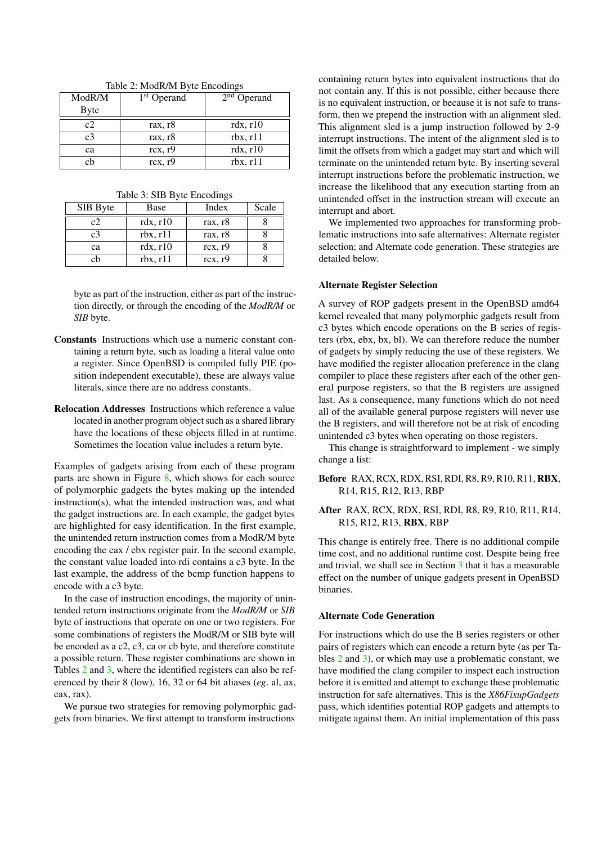<span id="page-4-0"></span>

| $1401C \geq$ , <i>ivioury ive Dyte Encounters</i> |               |               |  |  |
|---------------------------------------------------|---------------|---------------|--|--|
| ModR/M                                            | $1st$ Operand | $2nd$ Operand |  |  |
| <b>Byte</b>                                       |               |               |  |  |
| c2                                                | rax, r8       | $rdx$ , $r10$ |  |  |
| c <sub>3</sub>                                    | rax, r8       | rbx, r11      |  |  |
| ca                                                | rcx, r9       | $rdx$ , $r10$ |  |  |
| cb                                                | rcx, r9       | rbx, r11      |  |  |

Table 2: ModR/M Byte Encodings

Table 3: SIB Byte Encodings

<span id="page-4-1"></span>

| SIB Byte       | Base          | Index               | Scale |
|----------------|---------------|---------------------|-------|
| c2             | $rdx$ , $r10$ | rax, r8             |       |
| c <sub>3</sub> | rbx, r11      | rax, r <sub>8</sub> |       |
| ca             | $rdx$ , $r10$ | rcx, r9             |       |
| cb             | rbx, r11      | rcx, r9             |       |

byte as part of the instruction, either as part of the instruction directly, or through the encoding of the *ModR/M* or *SIB* byte.

- Constants Instructions which use a numeric constant containing a return byte, such as loading a literal value onto a register. Since OpenBSD is compiled fully PIE (position independent executable), these are always value literals, since there are no address constants.
- Relocation Addresses Instructions which reference a value located in another program object such as a shared library have the locations of these objects filled in at runtime. Sometimes the location value includes a return byte.

Examples of gadgets arising from each of these program parts are shown in Figure [8,](#page-5-0) which shows for each source of polymorphic gadgets the bytes making up the intended instruction(s), what the intended instruction was, and what the gadget instructions are. In each example, the gadget bytes are highlighted for easy identification. In the first example, the unintended return instruction comes from a ModR/M byte encoding the eax / ebx register pair. In the second example, the constant value loaded into rdi contains a c3 byte. In the last example, the address of the bcmp function happens to encode with a c3 byte.

In the case of instruction encodings, the majority of unintended return instructions originate from the *ModR/M* or *SIB* byte of instructions that operate on one or two registers. For some combinations of registers the ModR/M or SIB byte will be encoded as a c2, c3, ca or cb byte, and therefore constitute a possible return. These register combinations are shown in Tables [2](#page-4-0) and [3,](#page-4-1) where the identified registers can also be referenced by their 8 (low), 16, 32 or 64 bit aliases (*eg*. al, ax, eax, rax).

We pursue two strategies for removing polymorphic gadgets from binaries. We first attempt to transform instructions containing return bytes into equivalent instructions that do not contain any. If this is not possible, either because there is no equivalent instruction, or because it is not safe to transform, then we prepend the instruction with an alignment sled. This alignment sled is a jump instruction followed by 2-9 interrupt instructions. The intent of the alignment sled is to limit the offsets from which a gadget may start and which will terminate on the unintended return byte. By inserting several interrupt instructions before the problematic instruction, we increase the likelihood that any execution starting from an unintended offset in the instruction stream will execute an interrupt and abort.

We implemented two approaches for transforming problematic instructions into safe alternatives: Alternate register selection; and Alternate code generation. These strategies are detailed below.

#### Alternate Register Selection

A survey of ROP gadgets present in the OpenBSD amd64 kernel revealed that many polymorphic gadgets result from c3 bytes which encode operations on the B series of registers (rbx, ebx, bx, bl). We can therefore reduce the number of gadgets by simply reducing the use of these registers. We have modified the register allocation preference in the clang compiler to place these registers after each of the other general purpose registers, so that the B registers are assigned last. As a consequence, many functions which do not need all of the available general purpose registers will never use the B registers, and will therefore not be at risk of encoding unintended c3 bytes when operating on those registers.

This change is straightforward to implement - we simply change a list:

### Before RAX, RCX, RDX, RSI, RDI, R8, R9, R10, R11, RBX, R14, R15, R12, R13, RBP

### After RAX, RCX, RDX, RSI, RDI, R8, R9, R10, R11, R14, R15, R12, R13, RBX, RBP

This change is entirely free. There is no additional compile time cost, and no additional runtime cost. Despite being free and trivial, we shall see in Section [3](#page-5-1) that it has a measurable effect on the number of unique gadgets present in OpenBSD binaries.

#### Alternate Code Generation

For instructions which do use the B series registers or other pairs of registers which can encode a return byte (as per Tables [2](#page-4-0) and [3\)](#page-4-1), or which may use a problematic constant, we have modified the clang compiler to inspect each instruction before it is emitted and attempt to exchange these problematic instruction for safe alternatives. This is the *X86FixupGadgets* pass, which identifies potential ROP gadgets and attempts to mitigate against them. An initial implementation of this pass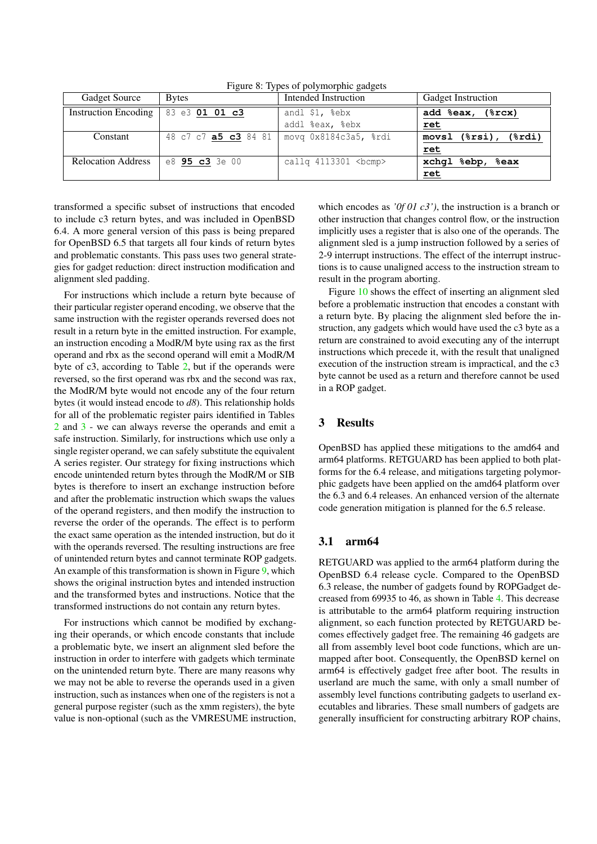<span id="page-5-0"></span>

| Gadget Source                                      | <b>Bytes</b>                | Intended Instruction     | <b>Gadget Instruction</b>                  |
|----------------------------------------------------|-----------------------------|--------------------------|--------------------------------------------|
| Instruction Encoding $\vert$ 83 e3 <b>01 01 c3</b> |                             | andl \$1, %ebx           | add %eax, (%rcx)                           |
|                                                    |                             | addl %eax, %ebx          | ret                                        |
| Constant                                           | 48 c7 c7 <b>a5 c3</b> 84 81 | movg 0x8184c3a5, %rdi    | $movsl$ ( $\text{rsi}$ ), ( $\text{rdi}$ ) |
|                                                    |                             |                          | ret                                        |
| <b>Relocation Address</b>                          | e8 95 c3 3e 00              | callg $4113301$<br>bcmp> | xchgl %ebp, %eax                           |
|                                                    |                             |                          | ret                                        |

Figure 8: Types of polymorphic gadgets

transformed a specific subset of instructions that encoded to include c3 return bytes, and was included in OpenBSD 6.4. A more general version of this pass is being prepared for OpenBSD 6.5 that targets all four kinds of return bytes and problematic constants. This pass uses two general strategies for gadget reduction: direct instruction modification and alignment sled padding.

For instructions which include a return byte because of their particular register operand encoding, we observe that the same instruction with the register operands reversed does not result in a return byte in the emitted instruction. For example, an instruction encoding a ModR/M byte using rax as the first operand and rbx as the second operand will emit a ModR/M byte of c3, according to Table [2,](#page-4-0) but if the operands were reversed, so the first operand was rbx and the second was rax, the ModR/M byte would not encode any of the four return bytes (it would instead encode to *d8*). This relationship holds for all of the problematic register pairs identified in Tables [2](#page-4-0) and [3](#page-4-1) - we can always reverse the operands and emit a safe instruction. Similarly, for instructions which use only a single register operand, we can safely substitute the equivalent A series register. Our strategy for fixing instructions which encode unintended return bytes through the ModR/M or SIB bytes is therefore to insert an exchange instruction before and after the problematic instruction which swaps the values of the operand registers, and then modify the instruction to reverse the order of the operands. The effect is to perform the exact same operation as the intended instruction, but do it with the operands reversed. The resulting instructions are free of unintended return bytes and cannot terminate ROP gadgets. An example of this transformation is shown in Figure [9,](#page-6-0) which shows the original instruction bytes and intended instruction and the transformed bytes and instructions. Notice that the transformed instructions do not contain any return bytes.

For instructions which cannot be modified by exchanging their operands, or which encode constants that include a problematic byte, we insert an alignment sled before the instruction in order to interfere with gadgets which terminate on the unintended return byte. There are many reasons why we may not be able to reverse the operands used in a given instruction, such as instances when one of the registers is not a general purpose register (such as the xmm registers), the byte value is non-optional (such as the VMRESUME instruction, which encodes as *'0f 01 c3')*, the instruction is a branch or other instruction that changes control flow, or the instruction implicitly uses a register that is also one of the operands. The alignment sled is a jump instruction followed by a series of 2-9 interrupt instructions. The effect of the interrupt instructions is to cause unaligned access to the instruction stream to result in the program aborting.

Figure [10](#page-6-1) shows the effect of inserting an alignment sled before a problematic instruction that encodes a constant with a return byte. By placing the alignment sled before the instruction, any gadgets which would have used the c3 byte as a return are constrained to avoid executing any of the interrupt instructions which precede it, with the result that unaligned execution of the instruction stream is impractical, and the c3 byte cannot be used as a return and therefore cannot be used in a ROP gadget.

# <span id="page-5-1"></span>3 Results

OpenBSD has applied these mitigations to the amd64 and arm64 platforms. RETGUARD has been applied to both platforms for the 6.4 release, and mitigations targeting polymorphic gadgets have been applied on the amd64 platform over the 6.3 and 6.4 releases. An enhanced version of the alternate code generation mitigation is planned for the 6.5 release.

## 3.1 arm64

RETGUARD was applied to the arm64 platform during the OpenBSD 6.4 release cycle. Compared to the OpenBSD 6.3 release, the number of gadgets found by ROPGadget decreased from 69935 to 46, as shown in Table [4.](#page-6-2) This decrease is attributable to the arm64 platform requiring instruction alignment, so each function protected by RETGUARD becomes effectively gadget free. The remaining 46 gadgets are all from assembly level boot code functions, which are unmapped after boot. Consequently, the OpenBSD kernel on arm64 is effectively gadget free after boot. The results in userland are much the same, with only a small number of assembly level functions contributing gadgets to userland executables and libraries. These small numbers of gadgets are generally insufficient for constructing arbitrary ROP chains,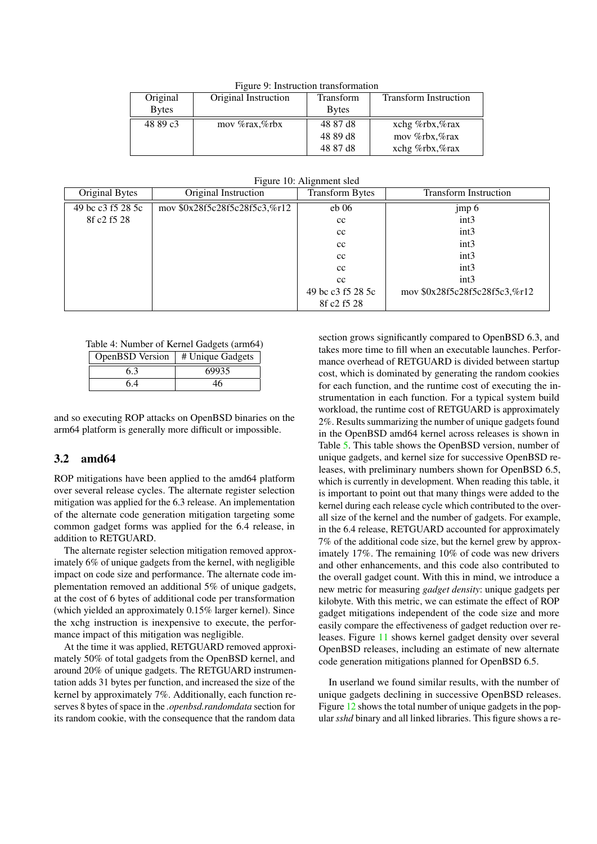<span id="page-6-0"></span>

| Tigure 9. Instruction transformation |                      |               |                              |  |  |
|--------------------------------------|----------------------|---------------|------------------------------|--|--|
| Original                             | Original Instruction | Transform     | <b>Transform Instruction</b> |  |  |
| <b>Bytes</b>                         |                      | <b>B</b> ytes |                              |  |  |
| 48 89 c3                             | mov %rax,%rbx        | 48 87 d8      | xchg %rbx,%rax               |  |  |
|                                      |                      | 48 89 d8      | mov %rbx,%rax                |  |  |
|                                      |                      | 48 87 d8      | xchg %rbx,%rax               |  |  |

Figure 9: Instruction transformation

Figure 10: Alignment sled

<span id="page-6-1"></span>

| Original Bytes    | Original Instruction          | ັ<br><b>Transform Bytes</b> | <b>Transform Instruction</b>  |
|-------------------|-------------------------------|-----------------------------|-------------------------------|
| 49 bc c3 f5 28 5c | mov \$0x28f5c28f5c28f5c3,%r12 | $eb\ 06$                    | jmp 6                         |
| 8f c2 f5 28       |                               | cc                          | int3                          |
|                   |                               | cc                          | int3                          |
|                   |                               | cc                          | int3                          |
|                   |                               | cc                          | int3                          |
|                   |                               | cc                          | int3                          |
|                   |                               | cc                          | int3                          |
|                   |                               | 49 bc c3 f5 28 5c           | mov \$0x28f5c28f5c28f5c3,%r12 |
|                   |                               | 8f c2 f5 28                 |                               |

<span id="page-6-2"></span>Table 4: Number of Kernel Gadgets (arm64)

| OpenBSD Version | # Unique Gadgets |  |
|-----------------|------------------|--|
| h. 3            | 69935            |  |
| ნ.4             |                  |  |

and so executing ROP attacks on OpenBSD binaries on the arm64 platform is generally more difficult or impossible.

### 3.2 amd64

ROP mitigations have been applied to the amd64 platform over several release cycles. The alternate register selection mitigation was applied for the 6.3 release. An implementation of the alternate code generation mitigation targeting some common gadget forms was applied for the 6.4 release, in addition to RETGUARD.

The alternate register selection mitigation removed approximately 6% of unique gadgets from the kernel, with negligible impact on code size and performance. The alternate code implementation removed an additional 5% of unique gadgets, at the cost of 6 bytes of additional code per transformation (which yielded an approximately 0.15% larger kernel). Since the xchg instruction is inexpensive to execute, the performance impact of this mitigation was negligible.

At the time it was applied, RETGUARD removed approximately 50% of total gadgets from the OpenBSD kernel, and around 20% of unique gadgets. The RETGUARD instrumentation adds 31 bytes per function, and increased the size of the kernel by approximately 7%. Additionally, each function reserves 8 bytes of space in the *.openbsd.randomdata* section for its random cookie, with the consequence that the random data

section grows significantly compared to OpenBSD 6.3, and takes more time to fill when an executable launches. Performance overhead of RETGUARD is divided between startup cost, which is dominated by generating the random cookies for each function, and the runtime cost of executing the instrumentation in each function. For a typical system build workload, the runtime cost of RETGUARD is approximately 2%. Results summarizing the number of unique gadgets found in the OpenBSD amd64 kernel across releases is shown in Table [5.](#page-7-2) This table shows the OpenBSD version, number of unique gadgets, and kernel size for successive OpenBSD releases, with preliminary numbers shown for OpenBSD 6.5, which is currently in development. When reading this table, it is important to point out that many things were added to the kernel during each release cycle which contributed to the overall size of the kernel and the number of gadgets. For example, in the 6.4 release, RETGUARD accounted for approximately 7% of the additional code size, but the kernel grew by approximately 17%. The remaining 10% of code was new drivers and other enhancements, and this code also contributed to the overall gadget count. With this in mind, we introduce a new metric for measuring *gadget density*: unique gadgets per kilobyte. With this metric, we can estimate the effect of ROP gadget mitigations independent of the code size and more easily compare the effectiveness of gadget reduction over releases. Figure [11](#page-7-3) shows kernel gadget density over several OpenBSD releases, including an estimate of new alternate code generation mitigations planned for OpenBSD 6.5.

In userland we found similar results, with the number of unique gadgets declining in successive OpenBSD releases. Figure [12](#page-7-4) shows the total number of unique gadgets in the popular*sshd* binary and all linked libraries. This figure shows a re-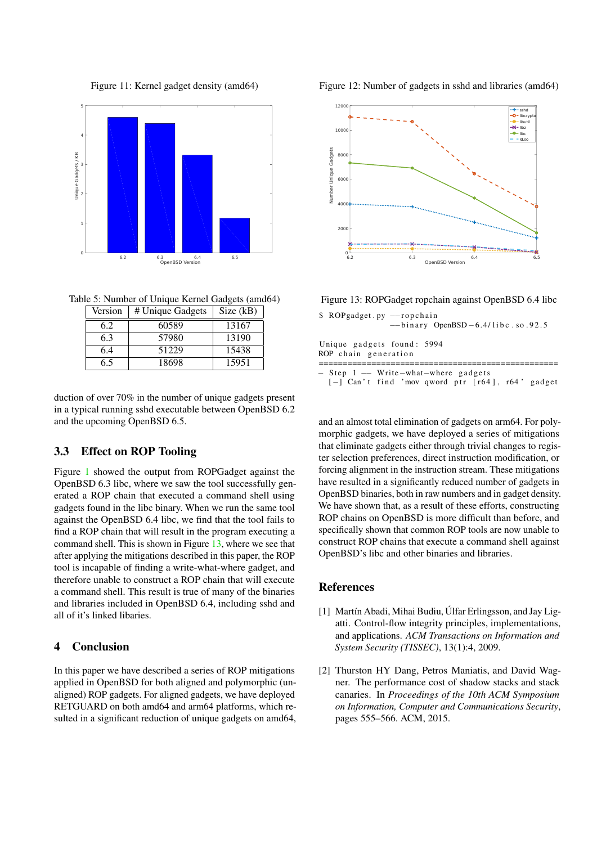Figure 11: Kernel gadget density (amd64)

<span id="page-7-3"></span>

<span id="page-7-2"></span>Table 5: Number of Unique Kernel Gadgets (amd64)

| Version | # Unique Gadgets | Size (kB) |
|---------|------------------|-----------|
| 6.2     | 60589            | 13167     |
| 6.3     | 57980            | 13190     |
| 6.4     | 51229            | 15438     |
| 6 հ     | 18698            | 15951     |

duction of over 70% in the number of unique gadgets present in a typical running sshd executable between OpenBSD 6.2 and the upcoming OpenBSD 6.5.

### 3.3 Effect on ROP Tooling

Figure [1](#page-2-0) showed the output from ROPGadget against the OpenBSD 6.3 libc, where we saw the tool successfully generated a ROP chain that executed a command shell using gadgets found in the libc binary. When we run the same tool against the OpenBSD 6.4 libc, we find that the tool fails to find a ROP chain that will result in the program executing a command shell. This is shown in Figure [13,](#page-7-5) where we see that after applying the mitigations described in this paper, the ROP tool is incapable of finding a write-what-where gadget, and therefore unable to construct a ROP chain that will execute a command shell. This result is true of many of the binaries and libraries included in OpenBSD 6.4, including sshd and all of it's linked libaries.

#### 4 Conclusion

In this paper we have described a series of ROP mitigations applied in OpenBSD for both aligned and polymorphic (unaligned) ROP gadgets. For aligned gadgets, we have deployed RETGUARD on both amd64 and arm64 platforms, which resulted in a significant reduction of unique gadgets on amd64, <span id="page-7-4"></span>Figure 12: Number of gadgets in sshd and libraries (amd64)



<span id="page-7-5"></span>Figure 13: ROPGadget ropchain against OpenBSD 6.4 libc

| \$ ROPgadget.py -- ropchain |  |                                         |
|-----------------------------|--|-----------------------------------------|
|                             |  | $-$ binary OpenBSD $-6.4$ /libc.so.92.5 |

| Unique gadgets found: 5994<br>ROP chain generation |  |
|----------------------------------------------------|--|
| - Step 1 -- Write-what-where gadgets               |  |

 $[-]$  Can't find 'mov qword ptr  $[r64]$ , r64' gadget

and an almost total elimination of gadgets on arm64. For polymorphic gadgets, we have deployed a series of mitigations that eliminate gadgets either through trivial changes to register selection preferences, direct instruction modification, or forcing alignment in the instruction stream. These mitigations have resulted in a significantly reduced number of gadgets in OpenBSD binaries, both in raw numbers and in gadget density. We have shown that, as a result of these efforts, constructing ROP chains on OpenBSD is more difficult than before, and specifically shown that common ROP tools are now unable to construct ROP chains that execute a command shell against OpenBSD's libc and other binaries and libraries.

#### References

- <span id="page-7-1"></span>[1] Martín Abadi, Mihai Budiu, Úlfar Erlingsson, and Jay Ligatti. Control-flow integrity principles, implementations, and applications. *ACM Transactions on Information and System Security (TISSEC)*, 13(1):4, 2009.
- <span id="page-7-0"></span>[2] Thurston HY Dang, Petros Maniatis, and David Wagner. The performance cost of shadow stacks and stack canaries. In *Proceedings of the 10th ACM Symposium on Information, Computer and Communications Security*, pages 555–566. ACM, 2015.